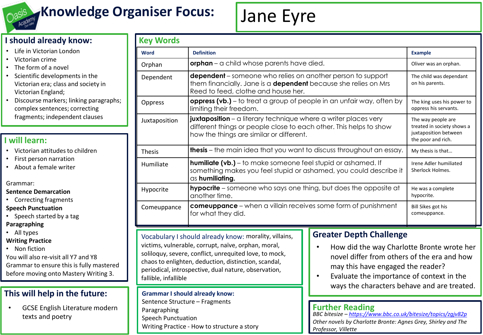

# **Knowledge Organiser Focus:**

# Jane Eyre

# **I should already know:**

- Life in Victorian London
- Victorian crime
- The form of a novel
- Scientific developments in the Victorian era; class and society in Victorian England;
- Discourse markers; linking paragraphs; complex sentences; correcting fragments; independent clauses

# **I will learn:**

- Victorian attitudes to children
- First person narration
- About a female writer

#### Grammar:

#### **Sentence Demarcation**

• Correcting fragments

#### **Speech Punctuation**

- Speech started by a tag **Paragraphing**
- All types

#### **Writing Practice**

• Non fiction

You will also re-visit all Y7 and Y8 Grammar to ensure this is fully mastered before moving onto Mastery Writing 3.

# **This will help in the future:**

• GCSE English Literature modern texts and poetry

| <b>Key Words</b> |                                                                                                                                                                                          |                                                                                                 |  |  |
|------------------|------------------------------------------------------------------------------------------------------------------------------------------------------------------------------------------|-------------------------------------------------------------------------------------------------|--|--|
| <b>Word</b>      | <b>Definition</b>                                                                                                                                                                        | <b>Example</b>                                                                                  |  |  |
| Orphan           | orphan - a child whose parents have died.                                                                                                                                                | Oliver was an orphan.                                                                           |  |  |
| Dependent        | <b>dependent</b> – someone who relies on another person to support<br>them financially. Jane is a <b>dependent</b> because she relies on Mrs<br>Reed to feed, clothe and house her.      |                                                                                                 |  |  |
| Oppress          | <b>oppress (vb.)</b> – to treat a group of people in an unfair way, often by<br>limiting their freedom.                                                                                  | The king uses his power to<br>oppress his servants.                                             |  |  |
| Juxtaposition    | <b>juxtaposition</b> – a literary technique where a writer places very<br>different things or people close to each other. This helps to show<br>how the things are similar or different. | The way people are<br>treated in society shows a<br>juxtaposition between<br>the poor and rich. |  |  |
| <b>Thesis</b>    | <b>thesis</b> – the main idea that you want to discuss throughout an essay.                                                                                                              | My thesis is that                                                                               |  |  |
| Humiliate        | <b>humiliate (vb.)</b> – to make someone feel stupid or ashamed. If<br>something makes you feel stupid or ashamed, you could describe it<br>as humiliating.                              | Irene Adler humiliated<br>Sherlock Holmes.                                                      |  |  |
| Hypocrite        | <b>hypocrite</b> – someone who says one thing, but does the opposite at<br>another time.                                                                                                 | He was a complete<br>hypocrite.                                                                 |  |  |
| Comeuppance      | <b>comeuppance</b> – when a villain receives some form of punishment<br>for what they did.                                                                                               | Bill Sikes got his<br>comeuppance.                                                              |  |  |

### Vocabulary I should already know: morality, villains, victims, vulnerable, corrupt, naïve, orphan, moral,

soliloquy, severe, conflict, unrequited love, to mock, chaos to enlighten, deduction, distinction, scandal, periodical, introspective, dual nature, observation, fallible, infallible

#### **Grammar I should already know:**

Sentence Structure – Fragments Paragraphing Speech Punctuation Writing Practice - How to structure a story

# **Greater Depth Challenge**

- How did the way Charlotte Bronte wrote her novel differ from others of the era and how may this have engaged the reader?
- Evaluate the importance of context in the ways the characters behave and are treated.

# **Further Reading**

*BBC bitesize – <https://www.bbc.co.uk/bitesize/topics/zgjv82p> Other novels by Charlotte Bronte: Agnes Grey, Shirley and The Professor, Villette*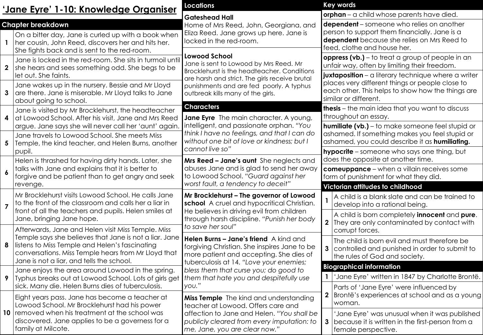| <u>'Jane Eyre' 1-10: Knowledge Organiser</u> |                                                                                                                                                                                                              | <b>Locations</b>                                                                                                                                                                                                                                 |              | <b>Key words</b>                                                                                                                                                                |  |
|----------------------------------------------|--------------------------------------------------------------------------------------------------------------------------------------------------------------------------------------------------------------|--------------------------------------------------------------------------------------------------------------------------------------------------------------------------------------------------------------------------------------------------|--------------|---------------------------------------------------------------------------------------------------------------------------------------------------------------------------------|--|
|                                              |                                                                                                                                                                                                              | <b>Gateshead Hall</b>                                                                                                                                                                                                                            |              | orphan - a child whose parents have died.                                                                                                                                       |  |
|                                              | <b>Chapter breakdown</b><br>On a bitter day, Jane is curled up with a book when<br>her cousin, John Reed, discovers her and hits her.<br>She fights back and is sent to the red-room.                        | Home of Mrs Reed, John, Georgiana, and<br>Eliza Reed. Jane grows up here. Jane is<br>locked in the red-room.                                                                                                                                     |              | <b>dependent</b> – someone who relies on another<br>person to support them financially. Jane is a<br>dependent because she relies on Mrs Reed to<br>feed, clothe and house her. |  |
| $\mathbf{2}$                                 | Jane is locked in the red-room. She sits in turmoil until<br>she hears and sees something odd. She begs to be<br>let out. She faints.                                                                        | <b>Lowood School</b><br>Jane is sent to Lowood by Mrs Reed. Mr<br>Brocklehurst is the headteacher. Conditions<br>are harsh and strict. The girls receive brutal<br>punishments and are fed poorly. A typhus<br>outbreak kills many of the girls. |              | oppress (vb.) - to treat a group of people in an<br>unfair way, often by limiting their freedom.<br>juxtaposition - a literary technique where a writer                         |  |
| 3                                            | Jane wakes up in the nursery. Bessie and Mr Lloyd<br>are there. Jane is miserable. Mr Lloyd talks to Jane<br>about going to school.                                                                          |                                                                                                                                                                                                                                                  |              | places very different things or people close to<br>each other. This helps to show how the things are<br>similar or different.                                                   |  |
| 4                                            | Jane is visited by Mr Brocklehurst, the headteacher<br>at Lowood School. After his visit, Jane and Mrs Reed                                                                                                  | <b>Characters</b><br>Jane Eyre The main character. A young,<br>intelligent, and passionate orphan. "You<br>think I have no feelings, and that I can do<br>without one bit of love or kindness; but I<br>cannot live so"                          |              | thesis - the main idea that you want to discuss<br>throughout an essay.                                                                                                         |  |
| $\overline{\mathbf{5}}$                      | argue. Jane says she will never call her 'aunt' again.<br>Jane travels to Lowood School. She meets Miss<br>Temple, the kind teacher, and Helen Burns, another                                                |                                                                                                                                                                                                                                                  |              | <b>humiliate (vb.)</b> – to make someone feel stupid or<br>ashamed. If something makes you feel stupid or<br>ashamed, you could describe it as humiliating.                     |  |
| $\boldsymbol{6}$                             | pupil.<br>Helen is thrashed for having dirty hands. Later, she<br>talks with Jane and explains that it is better to<br>forgive and be patient than to get angry and seek                                     | Mrs Reed - Jane's aunt She neglects and<br>abuses Jane and is glad to send her away<br>to Lowood School. "Guard against her                                                                                                                      |              | <b>hypocrite</b> - someone who says one thing, but<br>does the opposite at another time.<br>comeuppance - when a villain receives some<br>form of punishment for what they did. |  |
| $\overline{7}$                               | revenge.<br>Mr Brocklehurst visits Lowood School. He calls Jane<br>to the front of the classroom and calls her a liar in                                                                                     | worst fault, a tendency to deceit"<br>Mr Brocklehurst - The governor of Lowood<br>school A cruel and hypocritical Christian.                                                                                                                     |              | <b>Victorian attitudes to childhood</b><br>A child is a blank slate and can be trained to<br>develop into a rational being.                                                     |  |
|                                              | front of all the teachers and pupils. Helen smiles at<br>Jane, bringing Jane hope.<br>Afterwards, Jane and Helen visit Miss Temple. Miss                                                                     | He believes in driving evil from children<br>through harsh discipline. "Punish her body<br>to save her soul"                                                                                                                                     |              | A child is born completely <i>innocent</i> and <i>pure</i> .<br>They are only contaminated by contact with<br>corrupt forces.                                                   |  |
| 8                                            | Temple says she believes that Jane is not a liar. Jane<br>listens to Miss Temple and Helen's fascinating<br>conversations. Miss Temple hears from Mr Lloyd that<br>Jane is not a liar, and tells the school. | Helen Burns - Jane's friend A kind and<br>forgiving Christian. She inspires Jane to be<br>more patient and accepting. She dies of                                                                                                                | 3            | The child is born evil and must therefore be<br>controlled and punished in order to submit to<br>the rules of God and society.                                                  |  |
| 9                                            | Jane enjoys the area around Lowood in the spring.                                                                                                                                                            | tuberculosis at 14. "Love your enemies;<br>bless them that curse you; do good to                                                                                                                                                                 |              | <b>Biographical information</b>                                                                                                                                                 |  |
|                                              | Typhus breaks out at Lowood School. Lots of girls get   them that hate you and despitefully use                                                                                                              |                                                                                                                                                                                                                                                  |              | 'Jane Eyre' written in 1847 by Charlotte Brontë.                                                                                                                                |  |
| 10 <sup>°</sup>                              | sick. Many die. Helen Burns dies of tuberculosis.<br>Eight years pass. Jane has become a teacher at<br>Lowood School. Mr Brocklehurst had his power                                                          | 'you."<br>Miss Temple The kind and understanding<br>teacher at Lowood. Offers care and<br>affection to Jane and Helen. "You shall be<br>publicly cleared from every imputation: to<br>me, Jane, you are clear now."                              | $\mathbf{2}$ | Parts of 'Jane Eyre' were influenced by<br>Brontë's experiences at school and as a young<br>woman.                                                                              |  |
|                                              | removed when his treatment at the school was<br>discovered. Jane applies to be a governess for a<br>family at Milcote.                                                                                       |                                                                                                                                                                                                                                                  | 3            | 'Jane Eyre' was unusual when it was published<br>because it is written in the first-person from a<br>female perspective.                                                        |  |